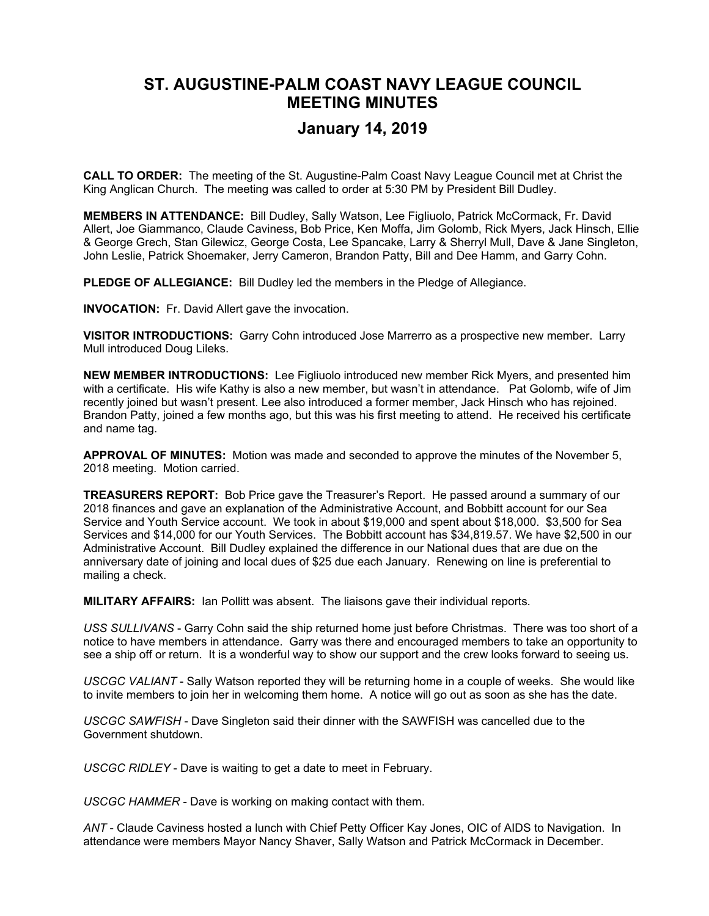## **ST. AUGUSTINE-PALM COAST NAVY LEAGUE COUNCIL MEETING MINUTES**

## **January 14, 2019**

**CALL TO ORDER:** The meeting of the St. Augustine-Palm Coast Navy League Council met at Christ the King Anglican Church. The meeting was called to order at 5:30 PM by President Bill Dudley.

**MEMBERS IN ATTENDANCE:** Bill Dudley, Sally Watson, Lee Figliuolo, Patrick McCormack, Fr. David Allert, Joe Giammanco, Claude Caviness, Bob Price, Ken Moffa, Jim Golomb, Rick Myers, Jack Hinsch, Ellie & George Grech, Stan Gilewicz, George Costa, Lee Spancake, Larry & Sherryl Mull, Dave & Jane Singleton, John Leslie, Patrick Shoemaker, Jerry Cameron, Brandon Patty, Bill and Dee Hamm, and Garry Cohn.

**PLEDGE OF ALLEGIANCE:** Bill Dudley led the members in the Pledge of Allegiance.

**INVOCATION:** Fr. David Allert gave the invocation.

**VISITOR INTRODUCTIONS:** Garry Cohn introduced Jose Marrerro as a prospective new member. Larry Mull introduced Doug Lileks.

**NEW MEMBER INTRODUCTIONS:** Lee Figliuolo introduced new member Rick Myers, and presented him with a certificate. His wife Kathy is also a new member, but wasn't in attendance. Pat Golomb, wife of Jim recently joined but wasn't present. Lee also introduced a former member, Jack Hinsch who has rejoined. Brandon Patty, joined a few months ago, but this was his first meeting to attend. He received his certificate and name tag.

**APPROVAL OF MINUTES:** Motion was made and seconded to approve the minutes of the November 5, 2018 meeting. Motion carried.

**TREASURERS REPORT:** Bob Price gave the Treasurer's Report. He passed around a summary of our 2018 finances and gave an explanation of the Administrative Account, and Bobbitt account for our Sea Service and Youth Service account. We took in about \$19,000 and spent about \$18,000. \$3,500 for Sea Services and \$14,000 for our Youth Services. The Bobbitt account has \$34,819.57. We have \$2,500 in our Administrative Account. Bill Dudley explained the difference in our National dues that are due on the anniversary date of joining and local dues of \$25 due each January. Renewing on line is preferential to mailing a check.

**MILITARY AFFAIRS:** Ian Pollitt was absent. The liaisons gave their individual reports.

*USS SULLIVANS* - Garry Cohn said the ship returned home just before Christmas. There was too short of a notice to have members in attendance. Garry was there and encouraged members to take an opportunity to see a ship off or return. It is a wonderful way to show our support and the crew looks forward to seeing us.

*USCGC VALIANT* - Sally Watson reported they will be returning home in a couple of weeks. She would like to invite members to join her in welcoming them home. A notice will go out as soon as she has the date.

*USCGC SAWFISH* - Dave Singleton said their dinner with the SAWFISH was cancelled due to the Government shutdown.

*USCGC RIDLEY* - Dave is waiting to get a date to meet in February.

*USCGC HAMMER* - Dave is working on making contact with them.

*ANT* - Claude Caviness hosted a lunch with Chief Petty Officer Kay Jones, OIC of AIDS to Navigation. In attendance were members Mayor Nancy Shaver, Sally Watson and Patrick McCormack in December.